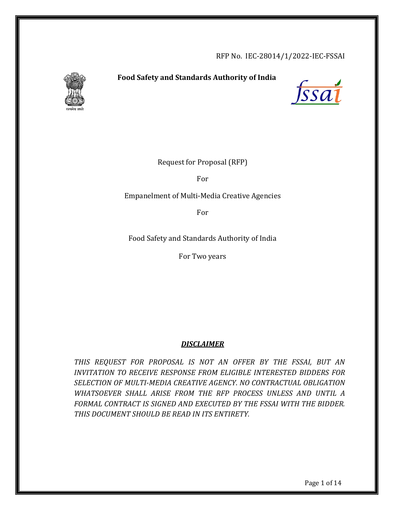RFP No. IEC-28014/1/2022-IEC-FSSAI



# **Food Safety and Standards Authority of India**



Request for Proposal (RFP)

For

Empanelment of Multi-Media Creative Agencies

For

Food Safety and Standards Authority of India

For Two years

## *DISCLAIMER*

*THIS REQUEST FOR PROPOSAL IS NOT AN OFFER BY THE FSSAI, BUT AN INVITATION TO RECEIVE RESPONSE FROM ELIGIBLE INTERESTED BIDDERS FOR SELECTION OF MULTI-MEDIA CREATIVE AGENCY*. *NO CONTRACTUAL OBLIGATION WHATSOEVER SHALL ARISE FROM THE RFP PROCESS UNLESS AND UNTIL A FORMAL CONTRACT IS SIGNED AND EXECUTED BY THE FSSAI WITH THE BIDDER. THIS DOCUMENT SHOULD BE READ IN ITS ENTIRETY.*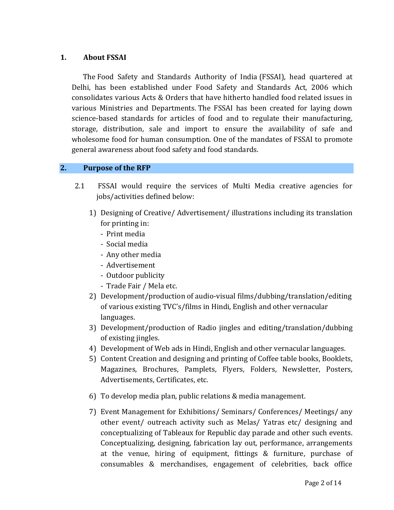## **1. About FSSAI**

 The Food Safety and Standards Authority of India (FSSAI), head quartered at Delhi, has been established under Food Safety and Standards Act, 2006 which consolidates various Acts & Orders that have hitherto handled food related issues in various Ministries and Departments. The FSSAI has been created for laying down science-based standards for articles of food and to regulate their manufacturing, storage, distribution, sale and import to ensure the availability of safe and wholesome food for human consumption. One of the mandates of FSSAI to promote general awareness about food safety and food standards.

## **2. Purpose of the RFP**

- 2.1 FSSAI would require the services of Multi Media creative agencies for jobs/activities defined below:
	- 1) Designing of Creative/ Advertisement/ illustrations including its translation for printing in:
		- Print media
		- Social media
		- Any other media
		- Advertisement
		- Outdoor publicity
		- Trade Fair / Mela etc.
	- 2) Development/production of audio-visual films/dubbing/translation/editing of various existing TVC's/films in Hindi, English and other vernacular languages.
	- 3) Development/production of Radio jingles and editing/translation/dubbing of existing jingles.
	- 4) Development of Web ads in Hindi, English and other vernacular languages.
	- 5) Content Creation and designing and printing of Coffee table books, Booklets, Magazines, Brochures, Pamplets, Flyers, Folders, Newsletter, Posters, Advertisements, Certificates, etc.
	- 6) To develop media plan, public relations & media management.
	- 7) Event Management for Exhibitions/ Seminars/ Conferences/ Meetings/ any other event/ outreach activity such as Melas/ Yatras etc/ designing and conceptualizing of Tableaux for Republic day parade and other such events. Conceptualizing, designing, fabrication lay out, performance, arrangements at the venue, hiring of equipment, fittings & furniture, purchase of consumables & merchandises, engagement of celebrities, back office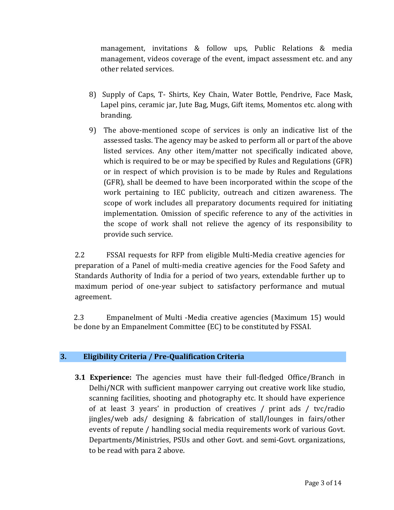management, invitations & follow ups, Public Relations & media management, videos coverage of the event, impact assessment etc. and any other related services.

- 8) Supply of Caps, T- Shirts, Key Chain, Water Bottle, Pendrive, Face Mask, Lapel pins, ceramic jar, Jute Bag, Mugs, Gift items, Momentos etc. along with branding.
- 9) The above-mentioned scope of services is only an indicative list of the assessed tasks. The agency may be asked to perform all or part of the above listed services. Any other item/matter not specifically indicated above, which is required to be or may be specified by Rules and Regulations (GFR) or in respect of which provision is to be made by Rules and Regulations (GFR), shall be deemed to have been incorporated within the scope of the work pertaining to IEC publicity, outreach and citizen awareness. The scope of work includes all preparatory documents required for initiating implementation. Omission of specific reference to any of the activities in the scope of work shall not relieve the agency of its responsibility to provide such service.

2.2 FSSAI requests for RFP from eligible Multi-Media creative agencies for preparation of a Panel of multi-media creative agencies for the Food Safety and Standards Authority of India for a period of two years, extendable further up to maximum period of one-year subject to satisfactory performance and mutual agreement.

2.3 Empanelment of Multi -Media creative agencies (Maximum 15) would be done by an Empanelment Committee (EC) to be constituted by FSSAI.

## **3. Eligibility Criteria / Pre-Qualification Criteria**

**3.1 Experience:** The agencies must have their full-fledged Office/Branch in Delhi/NCR with sufficient manpower carrying out creative work like studio, scanning facilities, shooting and photography etc. It should have experience of at least 3 years' in production of creatives / print ads / tvc/radio jingles/web ads/ designing & fabrication of stall/lounges in fairs/other events of repute / handling social media requirements work of various Govt. Departments/Ministries, PSUs and other Govt. and semi-Govt. organizations, to be read with para 2 above.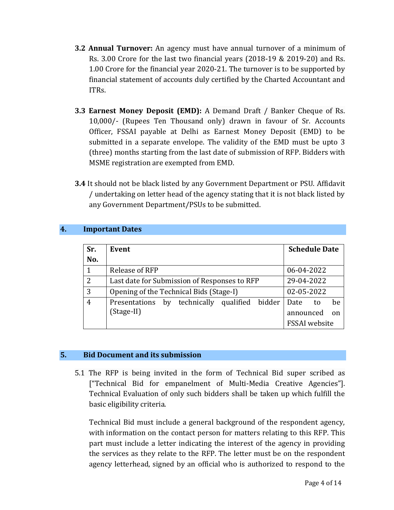- **3.2 Annual Turnover:** An agency must have annual turnover of a minimum of Rs. 3.00 Crore for the last two financial years (2018-19 & 2019-20) and Rs. 1.00 Crore for the financial year 2020-21. The turnover is to be supported by financial statement of accounts duly certified by the Charted Accountant and ITRs.
- **3.3 Earnest Money Deposit (EMD):** A Demand Draft / Banker Cheque of Rs. 10,000/- (Rupees Ten Thousand only) drawn in favour of Sr. Accounts Officer, FSSAI payable at Delhi as Earnest Money Deposit (EMD) to be submitted in a separate envelope. The validity of the EMD must be upto 3 (three) months starting from the last date of submission of RFP. Bidders with MSME registration are exempted from EMD.
- **3.4** It should not be black listed by any Government Department or PSU. Affidavit / undertaking on letter head of the agency stating that it is not black listed by any Government Department/PSUs to be submitted.

## **4. Important Dates**

| Sr. | Event                                            | <b>Schedule Date</b> |
|-----|--------------------------------------------------|----------------------|
| No. |                                                  |                      |
| 1   | <b>Release of RFP</b>                            | 06-04-2022           |
| 2   | Last date for Submission of Responses to RFP     | 29-04-2022           |
| 3   | Opening of the Technical Bids (Stage-I)          | 02-05-2022           |
| 4   | by technically qualified bidder<br>Presentations | be<br>Date<br>to     |
|     | (Stage-II)                                       | announced<br>on      |
|     |                                                  | <b>FSSAI</b> website |

## **5. Bid Document and its submission**

5.1 The RFP is being invited in the form of Technical Bid super scribed as ["Technical Bid for empanelment of Multi-Media Creative Agencies"]. Technical Evaluation of only such bidders shall be taken up which fulfill the basic eligibility criteria.

Technical Bid must include a general background of the respondent agency, with information on the contact person for matters relating to this RFP. This part must include a letter indicating the interest of the agency in providing the services as they relate to the RFP. The letter must be on the respondent agency letterhead, signed by an official who is authorized to respond to the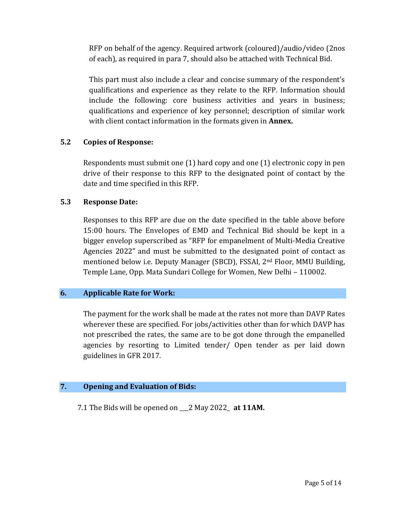RFP on behalf of the agency. Required artwork (coloured)/audio/video (2nos of each), as required in para 7, should also be attached with Technical Bid.

This part must also include a clear and concise summary of the respondent's qualifications and experience as they relate to the RFP. Information should include the following: core business activities and years in business; qualifications and experience of key personnel; description of similar work with client contact information in the formats given in **Annex.**

#### **5.2 Copies of Response:**

Respondents must submit one (1) hard copy and one (1) electronic copy in pen drive of their response to this RFP to the designated point of contact by the date and time specified in this RFP.

#### **5.3 Response Date:**

Responses to this RFP are due on the date specified in the table above before 15:00 hours. The Envelopes of EMD and Technical Bid should be kept in a bigger envelop superscribed as "RFP for empanelment of Multi-Media Creative Agencies 2022" and must be submitted to the designated point of contact as mentioned below i.e. Deputy Manager (SBCD), FSSAI, 2nd Floor, MMU Building, Temple Lane, Opp. Mata Sundari College for Women, New Delhi – 110002.

#### **6. Applicable Rate for Work:**

The payment for the work shall be made at the rates not more than DAVP Rates wherever these are specified. For jobs/activities other than for which DAVP has not prescribed the rates, the same are to be got done through the empanelled agencies by resorting to Limited tender/ Open tender as per laid down guidelines in GFR 2017.

#### **7. Opening and Evaluation of Bids:**

7.1 The Bids will be opened on \_\_\_2 May 2022\_ **at 11AM.**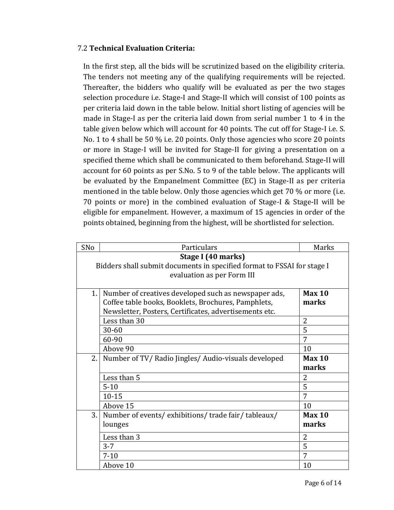## 7.2 **Technical Evaluation Criteria:**

In the first step, all the bids will be scrutinized based on the eligibility criteria. The tenders not meeting any of the qualifying requirements will be rejected. Thereafter, the bidders who qualify will be evaluated as per the two stages selection procedure i.e. Stage-I and Stage-II which will consist of 100 points as per criteria laid down in the table below. Initial short listing of agencies will be made in Stage-I as per the criteria laid down from serial number 1 to 4 in the table given below which will account for 40 points. The cut off for Stage-I i.e. S. No. 1 to 4 shall be 50 % i.e. 20 points. Only those agencies who score 20 points or more in Stage-I will be invited for Stage-II for giving a presentation on a specified theme which shall be communicated to them beforehand. Stage-II will account for 60 points as per S.No. 5 to 9 of the table below. The applicants will be evaluated by the Empanelment Committee (EC) in Stage-II as per criteria mentioned in the table below. Only those agencies which get 70 % or more (i.e. 70 points or more) in the combined evaluation of Stage-I & Stage-II will be eligible for empanelment. However, a maximum of 15 agencies in order of the points obtained, beginning from the highest, will be shortlisted for selection.

| SNo | Particulars                                                             | Marks             |
|-----|-------------------------------------------------------------------------|-------------------|
|     | Stage I (40 marks)                                                      |                   |
|     | Bidders shall submit documents in specified format to FSSAI for stage I |                   |
|     | evaluation as per Form III                                              |                   |
|     |                                                                         |                   |
| 1.  | Number of creatives developed such as newspaper ads,                    | Max <sub>10</sub> |
|     | Coffee table books, Booklets, Brochures, Pamphlets,                     | marks             |
|     | Newsletter, Posters, Certificates, advertisements etc.                  |                   |
|     | Less than 30                                                            | 2                 |
|     | $30 - 60$                                                               | 5                 |
|     | 60-90                                                                   | 7                 |
|     | Above 90                                                                | 10                |
| 2.1 | Number of TV/Radio Jingles/Audio-visuals developed                      | Max 10            |
|     |                                                                         | marks             |
|     | Less than 5                                                             | $\overline{2}$    |
|     | $5 - 10$                                                                | 5                 |
|     | $10 - 15$                                                               | 7                 |
|     | Above 15                                                                | 10                |
| 3.1 | Number of events/exhibitions/trade fair/tableaux/                       | Max <sub>10</sub> |
|     | lounges                                                                 | marks             |
|     | Less than 3                                                             | $\overline{2}$    |
|     | $3 - 7$                                                                 | 5                 |
|     | $7 - 10$                                                                | 7                 |
|     | Above 10                                                                | 10                |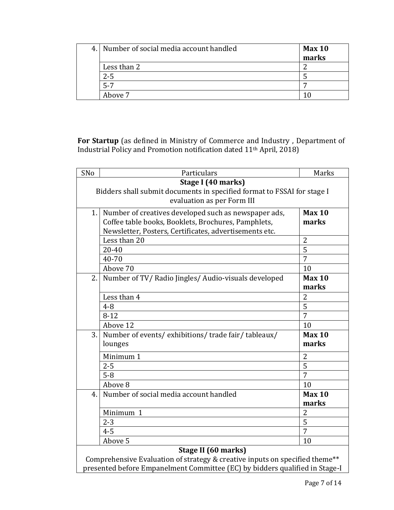| 4. Number of social media account handled | Max <sub>10</sub><br>marks |
|-------------------------------------------|----------------------------|
| Less than 2                               |                            |
| $2 - 5$                                   |                            |
| $5 - 7$                                   | −                          |
| Above 7                                   |                            |

**For Startup** (as defined in Ministry of Commerce and Industry , Department of Industrial Policy and Promotion notification dated 11th April, 2018)

| SNo                                                                         | Particulars                                                             | Marks          |  |
|-----------------------------------------------------------------------------|-------------------------------------------------------------------------|----------------|--|
| Stage I (40 marks)                                                          |                                                                         |                |  |
|                                                                             | Bidders shall submit documents in specified format to FSSAI for stage I |                |  |
|                                                                             | evaluation as per Form III                                              |                |  |
|                                                                             | Number of creatives developed such as newspaper ads,<br>1.1             |                |  |
|                                                                             | Coffee table books, Booklets, Brochures, Pamphlets,                     | marks          |  |
|                                                                             | Newsletter, Posters, Certificates, advertisements etc.                  |                |  |
|                                                                             | Less than 20                                                            | $\overline{2}$ |  |
|                                                                             | 20-40                                                                   | 5              |  |
|                                                                             | 40-70                                                                   | $\overline{7}$ |  |
|                                                                             | Above 70                                                                | 10             |  |
| 2.1                                                                         | Number of TV/ Radio Jingles/ Audio-visuals developed                    | <b>Max 10</b>  |  |
|                                                                             |                                                                         | marks          |  |
|                                                                             | Less than 4                                                             | $\overline{2}$ |  |
|                                                                             | $4 - 8$                                                                 | 5              |  |
|                                                                             | $8-12$                                                                  | 7              |  |
|                                                                             | Above 12                                                                | 10             |  |
| 3.1                                                                         | Number of events/exhibitions/trade fair/tableaux/                       | Max 10         |  |
|                                                                             | lounges                                                                 | marks          |  |
|                                                                             | Minimum 1                                                               | $\overline{2}$ |  |
|                                                                             | $2 - 5$                                                                 | $\overline{5}$ |  |
|                                                                             | $5 - 8$                                                                 | $\overline{7}$ |  |
|                                                                             | Above 8                                                                 | 10             |  |
| 4.1                                                                         | Number of social media account handled                                  | <b>Max 10</b>  |  |
|                                                                             |                                                                         | marks          |  |
|                                                                             | Minimum 1                                                               | $\overline{2}$ |  |
|                                                                             | $2 - 3$                                                                 | 5              |  |
|                                                                             | $4 - 5$                                                                 | 7              |  |
|                                                                             | Above 5                                                                 | 10             |  |
| Stage II (60 marks)                                                         |                                                                         |                |  |
| Comprehensive Evaluation of strategy & creative inputs on specified theme** |                                                                         |                |  |
| presented before Empanelment Committee (EC) by bidders qualified in Stage-I |                                                                         |                |  |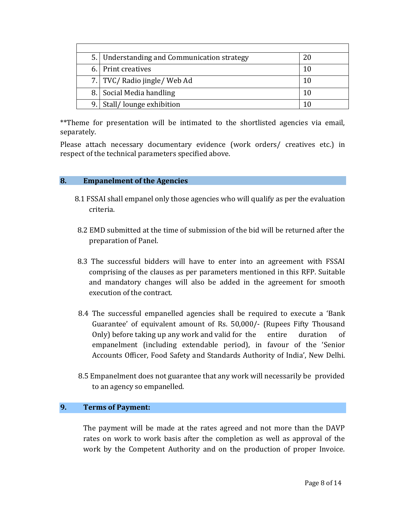| 5. Understanding and Communication strategy |  |
|---------------------------------------------|--|
| 6. Print creatives                          |  |
| 7. TVC/Radio jingle/Web Ad                  |  |
| 8. Social Media handling                    |  |
| 9. Stall/lounge exhibition                  |  |

\*\*Theme for presentation will be intimated to the shortlisted agencies via email, separately.

Please attach necessary documentary evidence (work orders/ creatives etc.) in respect of the technical parameters specified above.

#### **8. Empanelment of the Agencies**

- 8.1 FSSAI shall empanel only those agencies who will qualify as per the evaluation criteria.
- 8.2 EMD submitted at the time of submission of the bid will be returned after the preparation of Panel.
- 8.3 The successful bidders will have to enter into an agreement with FSSAI comprising of the clauses as per parameters mentioned in this RFP. Suitable and mandatory changes will also be added in the agreement for smooth execution of the contract.
- 8.4 The successful empanelled agencies shall be required to execute a 'Bank Guarantee' of equivalent amount of Rs. 50,000/- (Rupees Fifty Thousand Only) before taking up any work and valid for the entire duration of empanelment (including extendable period), in favour of the 'Senior Accounts Officer, Food Safety and Standards Authority of India', New Delhi.
- 8.5 Empanelment does not guarantee that any work will necessarily be provided to an agency so empanelled.

#### **9. Terms of Payment:**

The payment will be made at the rates agreed and not more than the DAVP rates on work to work basis after the completion as well as approval of the work by the Competent Authority and on the production of proper Invoice.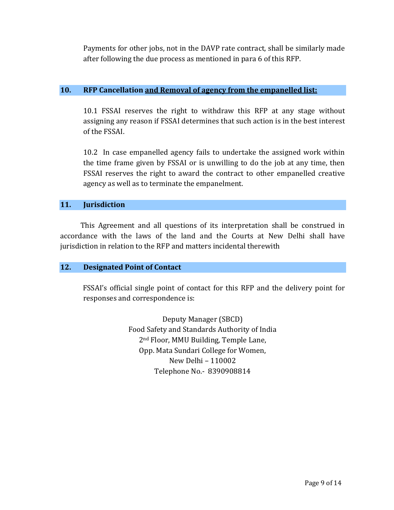Payments for other jobs, not in the DAVP rate contract, shall be similarly made after following the due process as mentioned in para 6 of this RFP.

## **10. RFP Cancellation and Removal of agency from the empanelled list:**

10.1 FSSAI reserves the right to withdraw this RFP at any stage without assigning any reason if FSSAI determines that such action is in the best interest of the FSSAI.

10.2 In case empanelled agency fails to undertake the assigned work within the time frame given by FSSAI or is unwilling to do the job at any time, then FSSAI reserves the right to award the contract to other empanelled creative agency as well as to terminate the empanelment.

## **11. Jurisdiction**

 This Agreement and all questions of its interpretation shall be construed in accordance with the laws of the land and the Courts at New Delhi shall have jurisdiction in relation to the RFP and matters incidental therewith

## **12. Designated Point of Contact**

FSSAI's official single point of contact for this RFP and the delivery point for responses and correspondence is:

> Deputy Manager (SBCD) Food Safety and Standards Authority of India 2nd Floor, MMU Building, Temple Lane, Opp. Mata Sundari College for Women, New Delhi – 110002 Telephone No.- 8390908814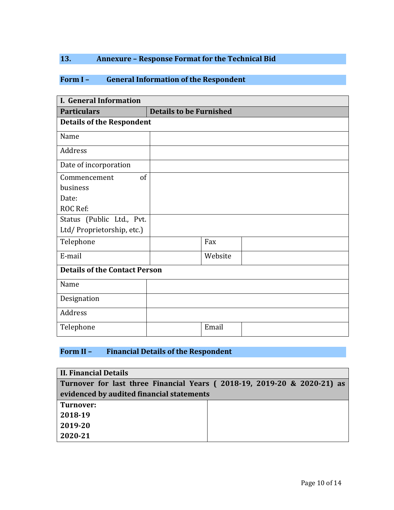# **13. Annexure – Response Format for the Technical Bid**

# **Form I – General Information of the Respondent**

| <b>I. General Information</b>        |                                |  |  |
|--------------------------------------|--------------------------------|--|--|
| <b>Particulars</b>                   | <b>Details to be Furnished</b> |  |  |
| <b>Details of the Respondent</b>     |                                |  |  |
| Name                                 |                                |  |  |
| Address                              |                                |  |  |
| Date of incorporation                |                                |  |  |
| of<br>Commencement                   |                                |  |  |
| business                             |                                |  |  |
| Date:                                |                                |  |  |
| ROC Ref:                             |                                |  |  |
| Status (Public Ltd., Pvt.            |                                |  |  |
| Ltd/Proprietorship, etc.)            |                                |  |  |
| Telephone                            | Fax                            |  |  |
| E-mail                               | Website                        |  |  |
| <b>Details of the Contact Person</b> |                                |  |  |
| Name                                 |                                |  |  |
| Designation                          |                                |  |  |
| Address                              |                                |  |  |
| Telephone                            | Email                          |  |  |

## **Form II – Financial Details of the Respondent**

| <b>II. Financial Details</b>                                            |  |  |  |
|-------------------------------------------------------------------------|--|--|--|
| Turnover for last three Financial Years (2018-19, 2019-20 & 2020-21) as |  |  |  |
| evidenced by audited financial statements                               |  |  |  |
| Turnover:                                                               |  |  |  |
| 2018-19                                                                 |  |  |  |
| 2019-20                                                                 |  |  |  |
| 2020-21                                                                 |  |  |  |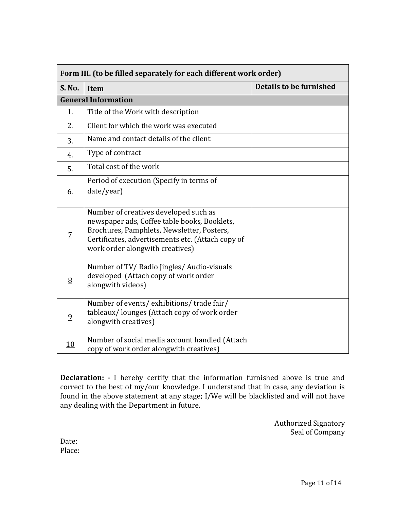| Form III. (to be filled separately for each different work order) |                                                                                                                                                                                                                             |                                |
|-------------------------------------------------------------------|-----------------------------------------------------------------------------------------------------------------------------------------------------------------------------------------------------------------------------|--------------------------------|
| <b>S. No.</b>                                                     | Item                                                                                                                                                                                                                        | <b>Details to be furnished</b> |
|                                                                   | <b>General Information</b>                                                                                                                                                                                                  |                                |
| 1.                                                                | Title of the Work with description                                                                                                                                                                                          |                                |
| 2.                                                                | Client for which the work was executed                                                                                                                                                                                      |                                |
| 3.                                                                | Name and contact details of the client                                                                                                                                                                                      |                                |
| 4.                                                                | Type of contract                                                                                                                                                                                                            |                                |
| 5.                                                                | Total cost of the work                                                                                                                                                                                                      |                                |
| 6.                                                                | Period of execution (Specify in terms of<br>date/year)                                                                                                                                                                      |                                |
| $\overline{Z}$                                                    | Number of creatives developed such as<br>newspaper ads, Coffee table books, Booklets,<br>Brochures, Pamphlets, Newsletter, Posters,<br>Certificates, advertisements etc. (Attach copy of<br>work order alongwith creatives) |                                |
| 8                                                                 | Number of TV/ Radio Jingles/ Audio-visuals<br>developed (Attach copy of work order<br>alongwith videos)                                                                                                                     |                                |
| $\overline{9}$                                                    | Number of events/exhibitions/trade fair/<br>tableaux/lounges (Attach copy of work order<br>alongwith creatives)                                                                                                             |                                |
| 10                                                                | Number of social media account handled (Attach<br>copy of work order alongwith creatives)                                                                                                                                   |                                |

**Declaration: -** I hereby certify that the information furnished above is true and correct to the best of my/our knowledge. I understand that in case, any deviation is found in the above statement at any stage; I/We will be blacklisted and will not have any dealing with the Department in future.

> Authorized Signatory Seal of Company

Date: Place: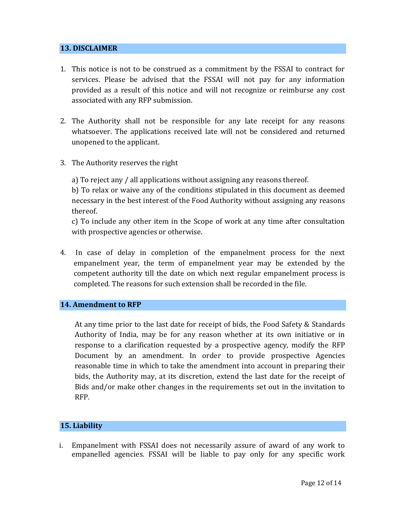#### **13. DISCLAIMER**

- 1. This notice is not to be construed as a commitment by the FSSAI to contract for services. Please be advised that the FSSAI will not pay for any information provided as a result of this notice and will not recognize or reimburse any cost associated with any RFP submission.
- 2. The Authority shall not be responsible for any late receipt for any reasons whatsoever. The applications received late will not be considered and returned unopened to the applicant.
- 3. The Authority reserves the right

a) To reject any / all applications without assigning any reasons thereof.

b) To relax or waive any of the conditions stipulated in this document as deemed necessary in the best interest of the Food Authority without assigning any reasons thereof.

c) To include any other item in the Scope of work at any time after consultation with prospective agencies or otherwise.

4. In case of delay in completion of the empanelment process for the next empanelment year, the term of empanelment year may be extended by the competent authority till the date on which next regular empanelment process is completed. The reasons for such extension shall be recorded in the file.

## **14. Amendment to RFP**

At any time prior to the last date for receipt of bids, the Food Safety & Standards Authority of India, may be for any reason whether at its own initiative or in response to a clarification requested by a prospective agency, modify the RFP Document by an amendment. In order to provide prospective Agencies reasonable time in which to take the amendment into account in preparing their bids, the Authority may, at its discretion, extend the last date for the receipt of Bids and/or make other changes in the requirements set out in the invitation to RFP.

#### **15. Liability**

i. Empanelment with FSSAI does not necessarily assure of award of any work to empanelled agencies. FSSAI will be liable to pay only for any specific work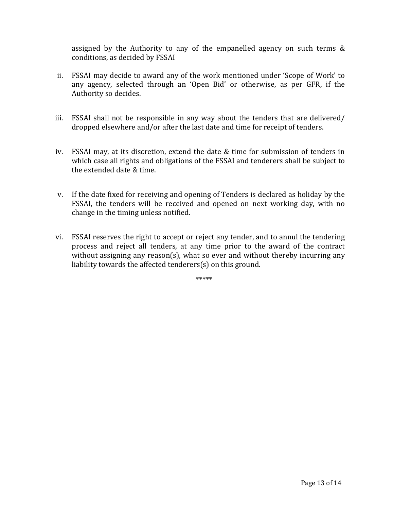assigned by the Authority to any of the empanelled agency on such terms & conditions, as decided by FSSAI

- ii. FSSAI may decide to award any of the work mentioned under 'Scope of Work' to any agency, selected through an 'Open Bid' or otherwise, as per GFR, if the Authority so decides.
- iii. FSSAI shall not be responsible in any way about the tenders that are delivered/ dropped elsewhere and/or after the last date and time for receipt of tenders.
- iv. FSSAI may, at its discretion, extend the date & time for submission of tenders in which case all rights and obligations of the FSSAI and tenderers shall be subject to the extended date & time.
- v. If the date fixed for receiving and opening of Tenders is declared as holiday by the FSSAI, the tenders will be received and opened on next working day, with no change in the timing unless notified.
- vi. FSSAI reserves the right to accept or reject any tender, and to annul the tendering process and reject all tenders, at any time prior to the award of the contract without assigning any reason(s), what so ever and without thereby incurring any liability towards the affected tenderers(s) on this ground.

\*\*\*\*\*